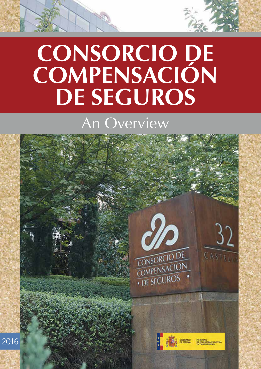## CONSORCIO DE **Compensación** DE SEGUROS

### An Overview

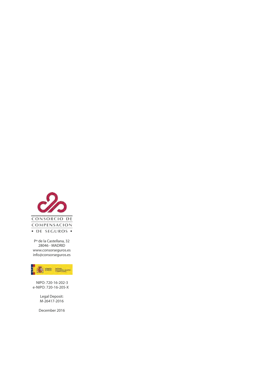

Pº de la Castellana, 32 28046 - MADRID www.consorseguros.es info@consorseguros.es



NIPO: 720-16-202-3 e-NIPO: 720-16-205-X

> Legal Deposit: M-26417-2016

December 2016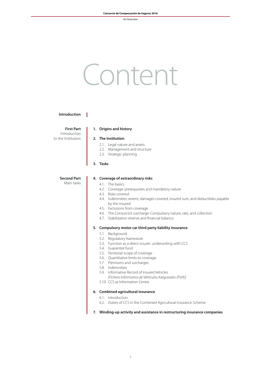# Content

#### **Introduction**

H

**First Part** Introduction to the Institution

#### **1. Origins and history**

#### **2. The Institution**

- 2.1. Legal nature and assets
- 2.2. Management and structure
- 2.3. Strategic planning

#### **3. Tasks**

#### **Second Part** Main tasks

#### **4. Coverage of extraordinary risks**

- 4.1. The basics
- 4.2. Coverage: prerequisites and mandatory nature
- 4.3. Risks covered
- 4.4. Indemnities: extent, damages covered, insured sum, and deductibles payable by the insured
- 4.5. Exclusions from coverage
- 4.6. The Consorcio's surcharge: Compulsory nature, rate, and collection
- 4.7. Stabilization reserve and financial balance

#### **5. Compulsory motor car third party liability insurance**

- 5.1. Background
- 5.2. Regulatory framework
- 5.3. Function as a direct insurer: underwriting with CCS
- 5.4. Guarantee fund
- 5.5. Territorial scope of coverage
- 5.6. Quantitative limits to coverage
- 5.7. Premiums and surcharges
- 5.8. Indemnities
- 5.9. Informative Record of Insured Vehicles
	- *[Fichero Informativo de Vehículos Asegurados (FIVA)]*
- 5.10. CCS as Information Centre

#### **6. Combined agricultural insurance**

- 6.1. Introduction
- 6.2. Duties of CCS in the Combined Agricultural Insurance Scheme
- **7. Winding-up activity and assistance in restructuring insurance companies**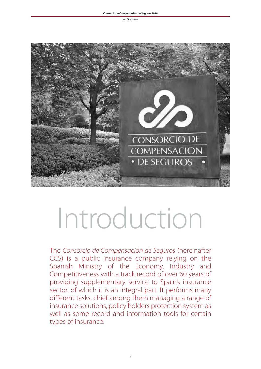

# Introduction

The *Consorcio de Compensación de Seguros* (hereinafter CCS) is a public insurance company relying on the Spanish Ministry of the Economy, Industry and Competitiveness with a track record of over 60 years of providing supplementary service to Spain's insurance sector, of which it is an integral part. It performs many different tasks, chief among them managing a range of insurance solutions, policy holders protection system as well as some record and information tools for certain types of insurance.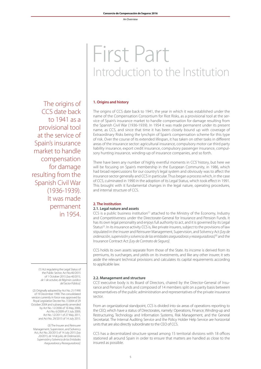## First Part Introduction to the Institution

#### **1. Origins and history**

The origins of CCS date back to 1941, the year in which it was established under the name of the Compensation Consortium for Riot Risks, as a provisional tool at the service of Spain's insurance market to handle compensation for damage resulting from the Spanish Civil War (1936-1939). In 1954 it was made permanent under its present name, as CCS, and since that time it has been closely bound up with coverage of Extraordinary Risks being the lynchpin of Spain's compensation scheme for this type of risk. Over the course of its extended lifespan, it has taken on other tasks in different areas of the insurance sector: agricultural insurance, compulsory motor car third party liability insurance, export credit insurance, compulsory passenger insurance, compulsory hunting insurance, winding-up of insurance companies, and so forth.

There have been any number of highly eventful moments in CCS' history, but here we will be focusing on Spain's membership in the European Community, in 1986, which had broad repercussions for our country's legal system and obviously was to affect the insurance sector generally and CCS in particular. Thus began a process which, in the case of CCS, culminated in 1990 in the adoption of its Legal Status, which took effect in 1991. This brought with it fundamental changes in the legal nature, operating procedures, and internal structure of CCS.

#### **2. The Institution 2.1. Legal nature and assets**

CCS is a public business institution<sup>(1)</sup> attached to the Ministry of the Economy, Industry and Competitiveness under the Directorate-General for Insurance and Pension Funds. It has its own legal personality and enjoys full authority to act, and it is governed by its Legal Status<sup>(2)</sup>. In its insurance activity CCS is, like private insurers, subject to the provisions of law stipulated in the Insurer and Reinsurer Management, Supervision, and Solvency Act *[Ley de ordenación, supervisión y solvencia de las entidades aseguradoras y reaseguradoras](3)* and the Insurance Contract Act *[Ley de Contrato de Seguro].*

CCS holds its own assets separate from those of the State. Its income is derived from its premiums, its surcharges, and yields on its investments, and like any other insurer, it sets aside the relevant technical provisions and calculates its capital requirements according to applicable law.

#### **2.2. Management and structure**

CCS' executive body is its Board of Directors, chaired by the Director-General of Insurance and Pension Funds and composed of 14 members split on a parity basis between representatives of the public administration and representatives of the private insurance sector.

From an organizational standpoint, CCS is divided into six areas of operations reporting to the CEO, which have a status of Directorates, namely: Operations, Finance, Winding-up and Restructuring, Technology and Information Systems, Risk Management, and the General Secretariat. The Internal Auditing Service and the Policy Holder Help Service are horizontal units that are also directly subordinate to the CEO of CCS.

CCS has a decentralized structure spread among 15 territorial divisions with 18 offices stationed all around Spain in order to ensure that matters are handled as close to the insured as possible.

The origins of CCS date back to 1941 as a provisional tool at the service of Spain's insurance market to handle compensation for damage resulting from the Spanish Civil War (1936-1939). It was made permanent in 1954.

> (1) Act regulating the Legal Status of the Public Sector, Act No.40/2015 of 1 October 2015 *[Ley 40/2015, de 1 de octubre, de Régimen Jurídico del Sector Público].*

(2) Originally adopted by Act No. 21/1990 of 19 December 1990. The consolidated version currently in force was approved by Royal Legislative Decree No. 7/2004 of 29 October 2004 and subsequently amended by Act No. 12/2006 of 16 May 2006, Act No. 6/2009 of 3 July 2009, Act No. 12/2011 of 27 May 2011, and Act No. 29/2015 of 14 July 2015.

(3) The Insurer and Reinsurer Management, Supervision, and Solvency Act, Act No. 20/2015 of 14 July 2015 *[Ley 20/2015, de 14 de julio, de Ordenación, Supervisión y Solvencia de las Entidades Aseguradoras y Reaseguradoras].*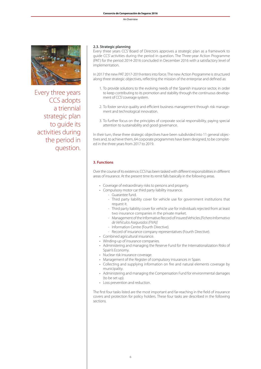

Every three years CCS adopts a triennial strategic plan to guide its activities during the period in question.

#### **2.3. Strategic planning**

Every three years CCS' Board of Directors approves a strategic plan as a framework to guide CCS' activities during the period in question. The Three-year Action Programme (PAT) for the period 2014-2016 concluded in December 2016 with a satisfactory level of implementation.

In 2017 the new PAT 2017-2019 enters into force. The new Action Programme is structured along three strategic objectives, reflecting the mission of the enterprise and defined as:

- 1. To provide solutions to the evolving needs of the Spanish insurance sector, in order to keep contributing to its promotion and stability through the continuous development of CCS' coverage system.
- 2. To foster service quality and efficient business management through risk management and technological innovation.
- 3. To further focus on the principles of corporate social responsibility, paying special attention to sustainability and good governance.

In their turn, these three strategic objectives have been subdivided into 11 general objectives and, to achieve them, 64 corporate programmes have been designed, to be completed in the three years from 2017 to 2019.

#### **3. Functions**

Over the course of its existence, CCS has been tasked with different responsibilities in different areas of insurance. At the present time its remit falls basically in the following areas.

- • Coverage of extraordinary risks to persons and property.
- Compulsory motor car third party liability insurance.
	- Guarantee fund.
	- Third party liability cover for vehicle use for government institutions that request it.
	- Third party liability cover for vehicle use for individuals rejected from at least two insurance companies in the private market.
	- Management of the Informative Record of Insured Vehicles *[Fichero Informativo de Vehículos Asegurados (FIVA)]*
	- Information Centre (Fourth Directive).
	- Record of insurance company representatives (Fourth Directive).
- • Combined agricultural insurance.
- Winding-up of insurance companies.
- Administering and managing the Reserve Fund for the Internationalization Risks of Spain's Economy.
- Nuclear risk insurance coverage.
- Management of the Register of compulsory insurances in Spain.
- Collecting and supplying information on fire and natural elements coverage by municipality.
- Administering and managing the Compensation Fund for environmental damages (to be set up).
- Loss prevention and reduction.

The first four tasks listed are the most important and far-reaching in the field of insurance covers and protection for policy holders. These four tasks are described in the following sections.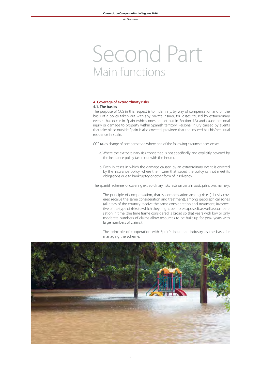## Second Part Main functions

#### **4. Coverage of extraordinaty risks 4.1. The basics**

The purpose of CCS in this respect is to indemnify, by way of compensation and on the basis of a policy taken out with any private insurer, for losses caused by extraordinary events that occur in Spain (which ones are set out in Section 4.3) and cause personal injury or damage to property within Spanish territory. Personal injury caused by events that take place outside Spain is also covered, provided that the insured has his/her usual residence in Spain.

CCS takes charge of compensation where one of the following circumstances exists:

- a. Where the extraordinary risk concerned is not specifically and explicitly covered by the insurance policy taken out with the insurer.
- b. Even in cases in which the damage caused by an extraordinary event is covered by the insurance policy, where the insurer that issued the policy cannot meet its obligations due to bankruptcy or other form of insolvency.

The Spanish scheme for covering extraordinary risks rests on certain basic principles, namely:

- The principle of compensation, that is, compensation among risks (all risks covered receive the same consideration and treatment), among geographical zones (all areas of the country receive the same consideration and treatment, irrespective of the type of risks to which they might be more exposed), as well as compensation in time (the time frame considered is broad so that years with low or only moderate numbers of claims allow resources to be built up for peak years with large numbers of claims).
- The principle of cooperation with Spain's insurance industry as the basis for managing the scheme.

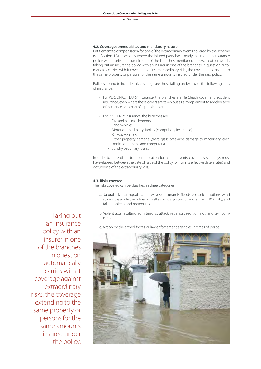#### **4.2. Coverage: prerequisites and mandatory nature**

Entitlement to compensation for one of the extraordinary events covered by the scheme (see Section 4.3) arises only where the injured party has already taken out an insurance policy with a private insurer in one of the branches mentioned below. In other words, taking out an insurance policy with an insurer in one of the branches in question automatically carries with it coverage against extraordinary risks, the coverage extending to the same property or persons for the same amounts insured under the said policy.

Policies bound to include this coverage are those falling under any of the following lines of insurance:

- For PERSONAL INJURY insurance, the branches are life (death cover) and accident insurance, even where these covers are taken out as a complement to another type of insurance or as part of a pension plan.
- For PROPERTY insurance, the branches are:
	- Fire and natural elements.
	- Land vehicles.
	- Motor car third party liability (compulsory insurance).
	- Railway vehicles.
	- Other property damage (theft, glass breakage, damage to machinery, electronic equipment, and computers).
	- Sundry pecuniary losses.

In order to be entitled to indemnification for natural events covered, seven days must have elapsed between the date of issue of the policy (or from its effective date, if later) and occurrence of the extraordinary loss.

#### **4.3. Risks covered**

The risks covered can be classified in three categories:

- a. Natural risks: earthquakes, tidal waves or tsunamis, floods, volcanic eruptions, wind storms (basically tornadoes as well as winds gusting to more than 120 km/h), and falling objects and meteorites.
- b. Violent acts resulting from terrorist attack, rebellion, sedition, riot, and civil commotion.
- c. Action by the armed forces or law enforcement agencies in times of peace.



Taking out an insurance policy with an insurer in one of the branches in question automatically carries with it coverage against extraordinary risks, the coverage extending to the same property or persons for the same amounts insured under the policy.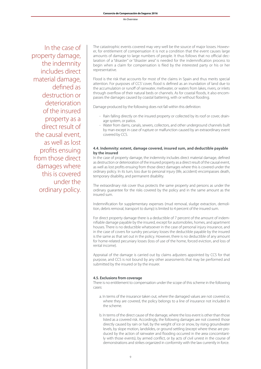In the case of property damage, the indemnity includes direct material damage, defined as destruction or deterioration of the insured property as a direct result of the causal event, as well as lost profits ensuing from those direct damages where this is covered under the ordinary policy.

The catastrophic events covered may very well be the source of major losses. However, for entitlement of compensation it is not a condition that the event causes large amounts of damage to large numbers of people. It thus follows that no official declaration of a "disaster" or "disaster area" is needed for the indemnification process to begin when a claim for compensation is filed by the interested party or his or her representative.

Flood is the risk that accounts for most of the claims in Spain and thus merits special attention. For purposes of CCS' cover, flood is defined as an inundation of land due to the accumulation or runoff of rainwater, meltwater, or waters from lakes, rivers, or inlets through overflow of their natural beds or channels. As for coastal floods, it also encompasses the damages caused by coastal battering, with or without flooding.

Damage produced by the following does not fall within this definition:

- Rain falling directly on the insured property or collected by its roof or cover, drainage system, or patios.
- Water from dams, canals, sewers, collectors, and other underground channels built by man except in case of rupture or malfunction caused by an extraordinary event covered by CCS.

#### **4.4. Indemnity: extent, damage covered, insured sum, and deductible payable by the insured**

In the case of property damage, the indemnity includes direct material damage, defined as destruction or deterioration of the insured property as a direct result of the causal event, as well as lost profits ensuing from those direct damages where this is covered under the ordinary policy. In its turn, loss due to personal injury (life, accident) encompasses death, temporary disability, and permanent disability.

The extraordinary risk cover thus protects the same property and persons as under the ordinary guarantee for the risks covered by the policy and in the same amount as the insured sum.

Indemnification for supplementary expenses (mud removal, sludge extraction, demolition, debris removal, transport to dump) is limited to 4 percent of the insured sum.

For direct property damage there is a deductible of 7 percent of the amount of indemnifiable damage payable by the insured, except for automobiles, homes, and apartment houses. There is no deductible whatsoever in the case of personal injury insurance, and in the case of covers for sundry pecuniary losses the deductible payable by the insured is the same as that set out in the policy. However, there is no deductible of any amount for home-related pecuniary losses (loss of use of the home, forced eviction, and loss of rental income).

Appraisal of the damage is carried out by claims adjusters appointed by CCS for that purpose, and CCS is not bound by any other assessments that may be performed and submitted by the insured or by the insurer.

#### **4.5. Exclusions from coverage**

There is no entitlement to compensation under the scope of this scheme in the following cases:

- a. In terms of the insurance taken out, where the damaged values are not covered or, where they are covered, the policy belongs to a line of insurance not included in the scheme.
- b. In terms of the direct cause of the damage, where the loss event is other than those listed as a covered risk. Accordingly, the following damages are not covered: those directly caused by rain or hail, by the weight of ice or snow, by rising groundwater levels, by slope motion, landslides, or ground settling (except where these are produced by the action of rainwater and flooding occurred in the area concomitantly with those events), by armed conflict, or by acts of civil unrest in the course of demonstrations and strikes organized in conformity with the law currently in force.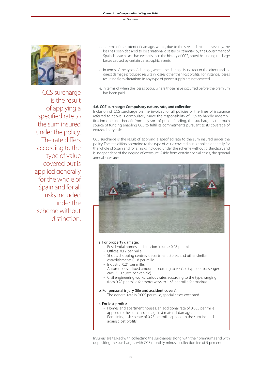

CCS surcharge is the result of applying a specified rate to the sum insured under the policy. The rate differs according to the type of value covered but is applied generally for the whole of Spain and for all risks included under the scheme without distinction.

- c. In terms of the extent of damage, where, due to the size and extreme severity, the loss has been declared to be a "national disaster or calamity" by the Government of Spain. No such case has ever arisen in the history of CCS, notwithstanding the large losses caused by certain catastrophic events.
- d. In terms of the type of damage, where the damage is indirect or the direct and indirect damage produced results in losses other than lost profits. For instance, losses resulting from alterations in any type of power supply are not covered.
- e. In terms of when the losses occur, where those have occurred before the premium has been paid.

#### **4.6. CCS' surcharge: Compulsory nature, rate, and collection**

Inclusion of CCS surcharge on the invoices for all policies of the lines of insurance referred to above is compulsory. Since the responsibility of CCS to handle indemnification does not benefit from any sort of public funding, the surcharge is the main source of funding enabling CCS to fulfil its commitments pursuant to its coverage of extraordinary risks.

CCS surcharge is the result of applying a specified rate to the sum insured under the policy. The rate differs according to the type of value covered but is applied generally for the whole of Spain and for all risks included under the scheme without distinction, and is independent of the degree of exposure. Aside from certain special cases, the general annual rates are:



#### a. For property damage:

- Residential homes and condominiums: 0.08 per mille.
- Offices: 0.12 per mille.
- Shops, shopping centres, department stores, and other similar establishments 0.18 per mille.
- Industry: 0.21 per mille.
- Automobiles: a fixed amount according to vehicle type (for passenger cars, 2.10 euros per vehicle).
- Civil engineering works: various rates according to the type, ranging from 0.28 per mille for motorways to 1.63 per mille for marinas.

#### b. For personal injury (life and accident covers):

- The general rate is 0.005 per mille, special cases excepted.

#### c. For lost profits:

- Homes and apartment houses: an additional rate of 0.005 per mille applied to the sum insured against material damage.
- Remaining risks: a rate of 0.25 per mille applied to the sum insured against lost profits.

Insurers are tasked with collecting the surcharges along with their premiums and with depositing the surcharges with CCS monthly minus a collection fee of 5 percent.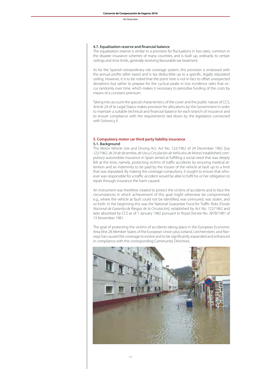#### **4.7. Equalization reserve and financial balance**

The equalization reserve is similar to a provision for fluctuations in loss rates, common in the disaster insurance schemes of many countries, and is built up, ordinarily to certain ceilings and time limits, generally receiving favourable tax treatment.

As for the Spanish extraordinary risk coverage system, this provision is endowed with the annual profits (after taxes) and is tax deductible up to a specific, legally stipulated ceiling. However, it is to be noted that the point here is not in fact to offset unexpected deviations but rather to prepare for the cyclical peaks in loss incidence rates that occur randomly over time, which makes it necessary to periodise funding of the costs by means of a constant premium.

Taking into account the special characteristics of the cover and the public nature of CCS, Article 24 of its Legal Status makes provision for allocations by the Government in order to maintain a suitable technical and financial balance for each branch of insurance and to ensure compliance with the requirements laid down by the legislation connected with Solvency II.

#### **5. Compulsory motor car third party liability insurance 5.1. Background**

The Motor Vehicle Use and Driving Act, Act No. 122/1962 of 24 December 1962 *[Ley 122/1962, de 24 de diciembre, de Uso y Circulación de Vehículos de Motor]* established compulsory automobile insurance in Spain aimed at fulfilling a social need that was deeply felt at the time, namely, protecting victims of traffic accidents by ensuring medical attention and an indemnity to be paid by the insurer of the vehicle at fault up to a limit that was stipulated. By making the coverage compulsory, it sought to ensure that whoever was responsible for a traffic accident would be able to fulfil his or her obligation to repair through insurance the harm caused.

An instrument was therefore created to protect the victims of accidents and to face the circumstances in which achievement of this goal might otherwise be compromised, e.g., where the vehicle at fault could not be identified, was uninsured, was stolen, and so forth. In the beginning this was the National Guarantee Fund for Traffic Risks *[Fondo Nacional de Garantía de Riesgos de la Circulación]*, established by Act No. 122/1962 and later absorbed by CCS as of 1 January 1982 pursuant to Royal Decree No. 2878/1981 of 13 November 1981.

The goal of protecting the victims of accidents taking place in the European Economic Area (the 28 Member States of the European Union plus Iceland, Liechtenstein, and Norway) has caused the coverage to evolve and to be significantly expanded and enhanced in compliance with the corresponding Community Directives.

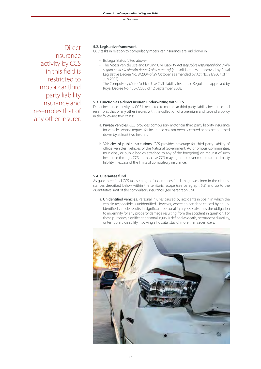Direct insurance activity by CCS in this field is restricted to motor car third party liability insurance and resembles that of any other insurer.

#### **5.2. Legislative framework**

CCS' tasks in relation to compulsory motor car insurance are laid down in:

- Its Legal Status (cited above).
- The Motor Vehicle Use and Driving Civil Liability Act *[Ley sobre responsabilidad civil y seguro en la circulación de vehículos a motor]* (consolidated text approved by Royal Legislative Decree No. 8/2004 of 29 October as amended by Act No. 21/2007 of 11 July 2007).
- The Compulsory Motor Vehicle Use Civil Liability Insurance Regulation approved by Royal Decree No. 1507/2008 of 12 September 2008.

#### **5.3. Function as a direct insurer: underwriting with CCS**

Direct insurance activity by CCS is restricted to motor car third party liability insurance and resembles that of any other insurer, with the collection of a premium and issue of a policy in the following two cases:

- a. Private vehicles. CCS provides compulsory motor car third party liability insurance for vehicles whose request for insurance has not been accepted or has been turned down by at least two insurers.
- b. Vehicles of public institutions. CCS provides coverage for third party liability of official vehicles (vehicles of the National Government, Autonomous Communities, municipal, or public bodies attached to any of the foregoing) on request of such insurance through CCS. In this case CCS may agree to cover motor car third party liability in excess of the limits of compulsory insurance.

#### **5.4. Guarantee fund**

As guarantee fund CCS takes charge of indemnities for damage sustained in the circumstances described below within the territorial scope (see paragraph 5.5) and up to the quantitative limit of the compulsory insurance (see paragraph 5.6).

a. Unidentified vehicles. Personal injuries caused by accidents in Spain in which the vehicle responsible is unidentified. However, where an accident caused by an unidentified vehicle results in significant personal injury, CCS also has the obligation to indemnify for any property damage resulting from the accident in question. For these purposes, significant personal injury is defined as death, permanent disability, or temporary disability involving a hospital stay of more than seven days.

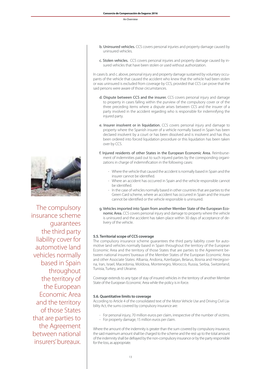- b. Uninsured vehicles. CCS covers personal injuries and property damage caused by uninsured vehicles.
	- c. Stolen vehicles. CCS covers personal injuries and property damage caused by insured vehicles that have been stolen or used without authorization.

In cases b. and c. above, personal injury and property damage sustained by voluntary occupants of the vehicle that caused the accident who knew that the vehicle had been stolen or was uninsured is excluded from coverage by CCS, provided that CCS can prove that the said persons were aware of those circumstances.

- d. Dispute between CCS and the insurer. CCS covers personal injury and damage to property in cases falling within the purview of the compulsory cover or of the three preceding items where a dispute arises between CCS and the insurer of a party involved in the accident regarding who is responsible for indemnifying the injured party.
- e. Insurer insolvent or in liquidation. CCS covers personal injury and damage to property where the Spanish insurer of a vehicle normally based in Spain has been declared insolvent by a court or has been dissolved and is insolvent and has thus been ordered into forced liquidation procedure or this liquidation has been taken over by CCS.
- f. Injured residents of other States in the European Economic Area. Reimbursement of indemnities paid out to such injured parties by the corresponding organizations in charge of indemnification in the following cases:
	- Where the vehicle that caused the accident is normally based in Spain and the insurer cannot be identified.
	- Where an accident has occurred in Spain and the vehicle responsible cannot be identified.
	- In the case of vehicles normally based in other countries that are parties to the Green Card scheme, where an accident has occurred in Spain and the insurer cannot be identified or the vehicle responsible is uninsured.
- g. Vehicles imported into Spain from another Member State of the European Economic Area. CCS covers personal injury and damage to property where the vehicle is uninsured and the accident has taken place within 30 days of acceptance of delivery of the vehicle.

#### **5.5. Territorial scope of CCS coverage**

The compulsory insurance scheme guarantees the third party liability cover for automotive land vehicles normally based in Spain throughout the territory of the European Economic Area and the territory of those States that are parties to the Agreement between national insurers' bureaux of the Member States of the European Economic Area and other Associate States: Albania, Andorra, Azerbaijan, Belarus, Bosnia and Herzegovina, Iran, Israel, Macedonia, Moldova, Montenegro, Morocco, Russia, Serbia, Switzerland, Tunisia, Turkey, and Ukraine.

Coverage extends to any type of stay of insured vehicles in the territory of another Member State of the European Economic Area while the policy is in force.

#### **5.6. Quantitative limits to coverage**

According to Article 4 of the consolidated text of the Motor Vehicle Use and Driving Civil Liability Act, the sums covered by compulsory insurance are:

- For personal injury, 70 million euros per claim, irrespective of the number of victims.
- For property damage, 15 million euros per claim.

Where the amount of the indemnity is greater than the sum covered by compulsory insurance, the said maximum amount shall be charged to the scheme and the rest up to the total amount of the indemnity shall be defrayed by the non-compulsory insurance or by the party responsible for the loss, as appropriate.



The compulsory insurance scheme guarantees the third party liability cover for automotive land vehicles normally based in Spain throughout the territory of the European Economic Area and the territory of those States that are parties to the Agreement between national insurers' bureaux.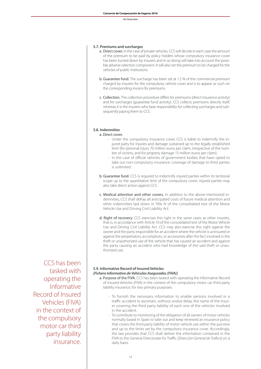#### **5.7. Premiums and surcharges**

- a. Direct cover. In the case of private vehicles, CCS will decide in each case the amount of the premium to be paid by policy holders whose compulsory insurance cover has been turned down by insurers and in so doing will take into account the possible adverse selection component. It will also set the premium to be charged for the vehicles of public institutions.
- b. Guarantee fund. The surcharge has been set at 1.5 % of the commercial premium charged by insurers for the compulsory vehicle cover and is to appear as such on the corresponding invoice for premiums.
- c. Collection. The collection procedure differs for premiums (direct insurance activity) and for surcharges (guarantee fund activity). CCS collects premiums directly itself, whereas it is the insurers who bear responsibility for collecting surcharges and subsequently paying them to CCS.

#### **5.8. Indemnities**

#### a. Direct cover.

- Under the compulsory insurance cover, CCS is liable to indemnify the injured party for injuries and damage sustained up to the legally established limit (for personal injury 70 million euros per claim, irrespective of the number of victims, and for property damage 15 million euros per claim).
- In the case of official vehicles of government bodies that have opted to take out non-compulsory insurance, coverage of damage to third parties is unlimited.
- b. Guarantee fund. CCS is required to indemnify injured parties within its territorial scope up to the quantitative limit of the compulsory cover; injured parties may also take direct action against CCS.
- c. Medical attention and other covers. In addition to the above-mentioned indemnities, CCS shall defray all anticipated costs of future medical attention and other indemnities laid down in Title IV of the consolidated text of the Motor Vehicle Use and Driving Civil Liability Act.
- d. Right of recovery. CCS exercises this right in the same cases as other insurers, that is, in accordance with Article 10 of the consolidated text of the Motor Vehicle Use and Driving Civil Liability Act. CCS may also exercise this right against the owner and the party responsible for an accident where the vehicle is uninsured or against the perpetrators, accomplices, or accessories after the fact involved in the theft or unauthorized use of the vehicle that has caused an accident and against the party causing an accident who had knowledge of the said theft or unauthorized use.

CCS has been tasked with operating the Informative Record of Insured Vehicles (FIVA) in the context of the compulsory motor car third party liability insurance.

#### **5.9. Informative Record of Insured Vehicles** *[Fichero Informativo de Vehículos Asegurados (FIVA)]*

- a. Purpose of the FIVA. CCS has been tasked with operating the Informative Record of Insured Vehicles (FIVA) in the context of the compulsory motor car third party liability insurance, for two primary purposes:
	- To furnish the necessary information to enable persons involved in a traffic accident to ascertain, without undue delay, the name of the insurer covering the third party liability of each one of the vehicles involved in the accident.
	- To contribute to monitoring of the obligation of all owners of motor vehicles normally based in Spain to take out and keep renewed an insurance policy that covers the third party liability of motor vehicle use within the purview and up to the limits set by the compulsory insurance cover. Accordingly, the law provides that CCS shall deliver the information contained in the FIVA to the General Directorate for Traffic *[Dirección General de Tráfico]* on a daily basis.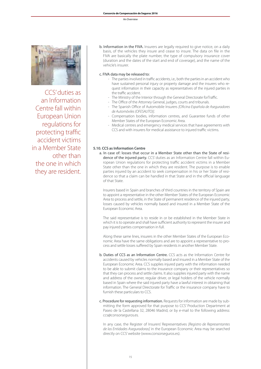

CCS' duties as an Information Centre fall within European Union regulations for protecting traffic accident victims in a Member State other than the one in which they are resident. b. Information in the FIVA. Insurers are legally required to give notice, on a daily basis, of the vehicles they insure and cease to insure. The data on file in the FIVA are basically the plate number, the type of compulsory insurance cover (duration and the dates of the start and end of coverage), and the name of the vehicle's insurer.

#### c. FIVA data may be released to:

- The parties involved in traffic accidents, i.e., both the parties in an accident who have sustained personal injury or property damage and the insurers who request information in their capacity as representatives of the injured parties in the traffic accident.
- The Ministry of the Interior through the General Directorate forTraffic.
- The Office of the Attorney General, judges, courts and tribunals.
- The Spanish Office of Automobile Insurers *[Oficina Española de Aseguradores de Automóviles (OFESAUTO)]*.
- Compensation bodies, information centres, and Guarantee funds of other Member States of the European Economic Area.
- Medical centres and emergency medical services that have agreements with CCS and with insurers for medical assistance to injured traffic victims.

#### **5.10. CCS as Information Centre**

a. In case of: losses that occur in a Member State other than the State of residence of the injured party. CCS' duties as an Information Centre fall within European Union regulations for protecting traffic accident victims in a Member State other than the one in which they are resident. The purpose is to enable parties injured by an accident to seek compensation in his or her State of residence so that a claim can be handled in that State and in the official language of that State.

Insurers based in Spain and branches of third countries in the territory of Spain are to appoint a representative in the other Member States of the European Economic Area to process and settle, in the State of permanent residence of the injured party, losses caused by vehicles normally based and insured in a Member State of the European Economic Area.

The said representative is to reside in or be established in the Member State in which it is to operate and shall have sufficient authority to represent the insurer and pay injured parties compensation in full.

Along these same lines, insurers in the other Member States of the European Economic Area have the same obligations and are to appoint a representative to process and settle losses suffered by Spain residents in another Member State.

- b. Duties of CCS as an Information Centre. CCS acts as the Information Centre for accidents caused by vehicles normally based and insured in a Member State of the European Economic Area. CCS supplies injured party with the information needed to be able to submit claims to the insurance company or their representatives so that they can process and settle claims. It also supplies injured party with the name and address of the owner, regular driver, or legal holders of the vehicle normally based in Spain where the said injured party have a lawful interest in obtaining that information. The General Directorate for Traffic or the insurance company have to furnish these particulars to CCS.
- c. Procedure for requesting information. Requests for information are made by submitting the form approved for that purpose to CCS' Production Department at Paseo de la Castellana 32, 28046 Madrid, or by e-mail to the following address: ccs@consorseguros.es.

In any case, the Register of Insurers' Representatives *[Registro de Representantes de las Entidades Aseguradoras]* in the European Economic Area may be searched directly on CCS' website (www.consorseguros.es).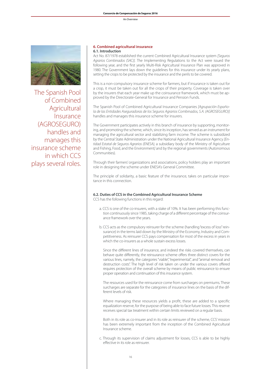

The Spanish Pool of Combined Agricultural Insurance (AGROSEGURO) handles and manages this insurance scheme in which CCS plays several roles.

#### **6. Combined agricultural insurance 6.1. Introduction**

Act No. 87/1978 established the current Combined Agricultural Insurance system *[Seguros Agrarios Combinados (SAC)].* The Implementing Regulations to the Act were issued the following year, and the first yearly Multi-Risk Agricultural Insurance Plan was approved in 1980. The Government lays down the guidelines for this insurance under its yearly plans, setting the crops to be protected by the insurance and the perils to be covered.

This is a non-compulsory insurance scheme for farmers, but if insurance is taken out for a crop, it must be taken out for all the crops of their property. Coverage is taken over by the insurers that each year make up the coinsurance framework, which must be approved by the Directorate-General for Insurance and Pension Funds.

The Spanish Pool of Combined Agricultural Insurance Companies *[Agrupación Española de las Entidades Aseguradoras de los Seguros Agrarios Combinados, S.A. (AGROSEGURO)]* handles and manages this insurance scheme for insurers.

The Government participates actively in this branch of insurance by supporting, monitoring, and promoting the scheme, which, since its inception, has served as an instrument for managing the agricultural sector and stabilizing farm income. The scheme is subsidized by the Central State Administration under the National Agricultural Insurance Agency *[Entidad Estatal de Seguros Agrarios (ENESA),* a subsidiary body of the Ministry of Agriculture and Fishing, Food, and the Environment*]* and by the regional governments (Autonomous Communities).

Through their farmers' organizations and associations, policy holders play an important role in designing the scheme under ENESA's General Committee.

The principle of solidarity, a basic feature of the insurance, takes on particular importance in this connection.

#### **6.2. Duties of CCS in the Combined Agricultural Insurance Scheme**

CCS has the following functions in this regard:

- a. CCS is one of the co-insurers, with a stake of 10%. It has been performing this function continuously since 1985, taking charge of a different percentage of the coinsurance framework over the years.
- b. CCS acts as the compulsory reinsurer for the scheme (handling "excess of loss" reinsurance) in the terms laid down by the Ministry of the Economy, Industry and Competitiveness. As reinsurer CCS pays compensation for most of the excess in years in which the co-insurers as a whole sustain excess losses.

Since the different lines of insurance, and indeed the risks covered themselves, can behave quite differently, the reinsurance scheme offers three distinct covers for the various lines, namely, the categories "viable", "experimental", and "animal removal and destruction costs". The high level of risk taken on under the various covers offered requires protection of the overall scheme by means of public reinsurance to ensure proper operation and continuation of this insurance system.

The resources used for the reinsurance come from surcharges on premiums. These surcharges are separate for the categories of insurance lines on the basis of the different levels of risk.

Where managing these resources yields a profit, these are added to a specific equalization reserve, for the purpose of being able to face future losses. This reserve receives special tax treatment within certain limits reviewed on a regular basis.

Both in its role as co-insurer and in its role as reinsurer of the scheme, CCS' mission has been extremely important from the inception of the Combined Agricultural Insurance scheme.

c. Through its supervision of claims adjustment for losses, CCS is able to be highly effective in its role as reinsurer.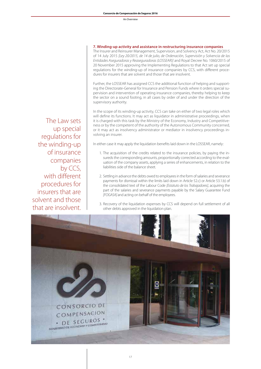#### **7. Winding-up activity and assistance in restructuring insurance companies**

The Insurer and Reinsurer Management, Supervision, and Solvency Act, Act No. 20/2015 of 14 July 2015 *[Ley 20/2015, de 14 de julio, de Ordenación, Supervisión y Solvencia de las Entidades Aseguradoras y Reaseguradoras (LOSSEAR)]* and Royal Decree No. 1060/2015 of 20 November 2015 approving the Implementing Regulations to that Act set up special regulations for the winding-up of insurance companies by CCS, with different procedures for insurers that are solvent and those that are insolvent.

Further, the LOSSEAR has assigned CCS the additional function of helping and supporting the Directorate-General for Insurance and Pension Funds where it orders special supervision and intervention of operating insurance companies, thereby helping to keep the sector on a sound footing, in all cases by order of and under the direction of the supervisory authority.

In the scope of its winding-up activity, CCS can take on either of two legal roles which will define its functions. It may act as liquidator in administrative proceedings, when it is charged with this task by the Ministry of the Economy, Industry and Competitiveness or by the competent of the authority of the Autonomous Community concerned, or it may act as insolvency administrator or mediator in insolvency proceedings involving an insurer.

In either case it may apply the liquidation benefits laid down in the LOSSEAR, namely:

- 1. The acquisition of the credits related to the insurance policies, by paying the insureds the corresponding amounts, proportionally corrected according to the evaluation of the company assets, applying a series of enhancements, in relation to the liabilities side of the balance sheet.
- 2. Settling in advance the debts owed to employees in the form of salaries and severance payments for dismissal within the limits laid down in Article 52.c) or Article 53.1.b) of the consolidated text of the Labour Code *[Estatuto de los Trabajadores]*, acquiring the part of the salaries and severance payments payable by the Salary Guarantee Fund *[FOGASA]* and acting on behalf of the employees.
- 3. Recovery of the liquidation expenses by CCS will depend on full settlement of all other debts approved in the liquidation plan.



The Law sets up special regulations for the winding-up of insurance companies by CCS, with different procedures for insurers that are solvent and those that are insolvent.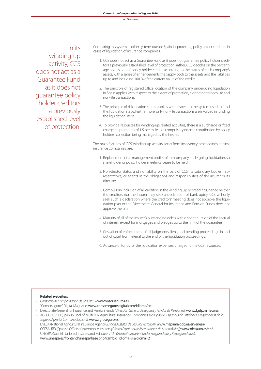In its winding-up activity, CCS does not act as a Guarantee Fund as it does not guarantee policy holder creditors a previously established level of protection.

Comparing this system to other systems outside Spain for protecting policy holder creditors in cases of liquidation of insurance companies:

- 1. CCS does not act as a Guarantee Fund as it does not guarantee policy holder creditors a previously established level of protection; rather, CCS decides on the percentage acquisition of policy holder credits according to the status of each company's assets, with a series of enhancements that apply both to the assets and the liabilities up to and including 100 % of the current value of the credits.
- 2. The principle of registered office location of the company undergoing liquidation in Spain applies with respect to the extent of protection, extending to both life and non-life transactions.
- 3. The principle of risk location status applies with respect to the system used to fund the liquidation steps. Furthermore, only non-life transactions are involved in funding the liquidation steps.
- 4. To provide resources for winding-up-related activities, there is a surcharge or fixed charge on premiums of 1.5 per mille as a compulsory ex ante contribution by policy holders, collection being managed by the insurer.

The main features of CCS' winding-up activity apart from insolvency proceedings against insurance companies, are:

- 1. Replacement of all management bodies of the company undergoing liquidation, so shareholder or policy holder meetings cease to be held.
- 2. Non-debtor status and no liability on the part of CCS, its subsidiary bodies, representatives, or agents re the obligations and responsibilities of the insurer or its directors.
- 3. Compulsory inclusion of all creditors in the winding-up proceedings, hence neither the creditors nor the insurer may seek a declaration of bankruptcy. CCS will only seek such a declaration where the creditors' meeting does not approve the liquidation plan or the Directorate-General for Insurance and Pension Funds does not approve the plan.
- 4. Maturity of all of the insurer's outstanding debts with discontinuation of the accrual of interest, except for mortgages and pledges up to the limit of the guarantee.
- 5. Cessation of enforcement of all judgments, liens, and pending proceedings in and out of court from referral to the end of the liquidation proceedings.
- 6. Advance of funds for the liquidation expenses, charged to the CCS' resources.

#### **Related websites:**

- • *Consorcio de Compensación de Seguros:* www.consorseguros.es
- • "Consorseguros"Digital Magazine: www.consorsegurosdigital.com/idioma/en
- • Directorate-General for Insurance and Pension Funds*[Dirección General de Seguros y Fondos de Pensiones]*: www.dgsfp.mineco.es
- • AGROSEGURO (Spanish Pool of Multi-Risk Agricultural Insurance Companies *[Agrupación Española de Entidades Aseguradoras de los Seguros Agrarios Combinados, S.A.)]*: www.agroseguro.es
- ENESA (National Agricultural Insurance Agency *[Entidad Estatal de Seguros Agrarios]*): www.mapama.gob.es/en/enesa/
- • OFESAUTO(SpanishOffice of Automobile Insurers*[Oficina Española de Aseguradores de Automóviles]*): www.ofesauto.es/en/
- • UNESPA (Spanish Union of Insurers and Reinsurers*[Unión Española de Entidades Aseguradoras y Reaseguradoras]*): www.unespa.es/frontend/unespa/base.php?cambio\_idioma=si&idioma=2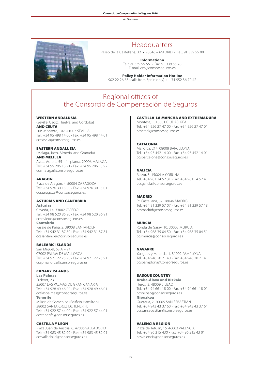

#### Headquarters

Paseo de la Castellana, 32 • 28046 – MADRID • Tel.: 91 339 55 00

**Informationn** Tel.: 91 339 55 55 • Fax: 91 339 55 78 E-mail: ccs@consorseguros.es

#### **Policy Holder Information Hotline**

902 22 26 65 (calls from Spain only) • +34 952 36 70 42

#### Regional offices of the Consorcio de Compensación de Seguros

#### WESTERN ANDALUSIA

(Seville, Cadiz, Huelva, and Cordoba) AND CEUTA Luis Montoto, 107. 41007 SEVILLA

Tel.: +34 95 498 14 00 • Fax: +34 95 498 14 01 ccssevila@consorseguros.es

#### EASTERN ANDALUSIA

(Malaga, Jaen, Almeria, and Granada) AND MELILLA Avda. Aurora, 55 – 1º planta. 29006 MÁLAGA Tel.: +34 95 206 13 91 • Fax: +34 95 206 13 92 ccsmalaga@consorseguros.es

#### **ARAGON**

Plaza de Aragón, 4. 50004 ZARAGOZA Tel.: +34 976 30 15 00 • Fax: +34 976 30 15 01 ccszaragoza@consorseguros.es

#### ASTURIAS AND CANTABRIA Asturias

Caveda, 14. 33002 OVIEDO Tel.: +34 98 520 86 90 • Fax: +34 98 520 86 91 ccsoviedo@consorseguros.es

Cantabria Pasaje de Peña, 2. 39008 SANTANDER Tel.: +34 942 31 87 80 • Fax: +34 942 31 87 81 ccssantander@consorseguros.es

#### BALEARIC ISLANDS

San Miguel, 68 A – 2º 07002 PALMA DE MALLORCA Tel.: +34 971 22 75 90 • Fax: +34 971 22 75 91 ccspmallorca@consorseguros.es

#### CANARY ISLANDS

Las Palmas Diderot, 23 35007 LAS PALMAS DE GRAN CANARIA Tel.: +34 928 49 46 00 • Fax: +34 928 49 46 01 ccslaspalmas@consorseguros.es Tenerife

Milicia de Garachico (Edificio Hamilton) 38002 SANTA CRUZ DE TENERIFE Tel.: +34 922 57 44 00 • Fax: +34 922 57 44 01 ccstenerife@consorseguros.es

#### CASTILLA Y LEÓN

Plaza Juan de Austria, 6. 47006 VALLADOLID Tel.: +34 983 45 82 00 • Fax: +34 983 45 82 01 ccsvalladolid@consorseguros.es

#### CASTILLA-LA MANCHA AND EXTREMADURA

Montesa, 1. 13001 CIUDAD REAL Tel.: +34 926 27 47 00 • Fax: +34 926 27 47 01 ccscreal@consorseguros.es

#### **CATALONIA**

Mallorca, 214. 08008 BARCELONA Tel.: +34 93 452 14 00 • Fax: +34 93 452 14 01 ccsbarcelona@consorseguros.es

#### GALICIA

Riazor, 3, 15004 A CORUÑA Tel.: +34 981 14 52 31 • Fax: +34 981 14 52 41 ccsgalicia@consorseguros.es

#### MADRID

Pº Castellana, 32. 28046 MADRID Tel.: +34 91 339 57 07 • Fax: +34 91 339 57 18 ccsmadrid@consorseguros.es

#### MURCIA

Ronda de Garay, 10. 30003 MURCIA Tel.: +34 968 35 04 50 • Fax: +34 968 35 04 51 ccsmurcia@consorseguros.es

#### NAVARRE

Yanguas y Miranda, 1. 31002 PAMPLONA Tel.: +34 948 20 71 40 • Fax: +34 948 20 71 41 ccspamplona@consorseguros.es

#### BASQUE COUNTRY

Araba-Álava and Bizkaia Heros, 3. 48009 BILBAO Tel.: +34 94 661 18 00 • Fax: +34 94 661 18 01 ccsbilbao@consorseguros.es Gipuzkoa Guetaria, 2. 20005 SAN SEBASTIÁN Tel.: +34 943 43 37 60 • Fax: +34 943 43 37 61 ccssansebastian@consorseguros.es

#### VALENCIA REGION

Plaza de Tetuán, 15. 46003 VALENCIA Tel.: +34 96 315 430 • Fax: +34 96 315 43 01 ccsvalencia@consorseguros.es